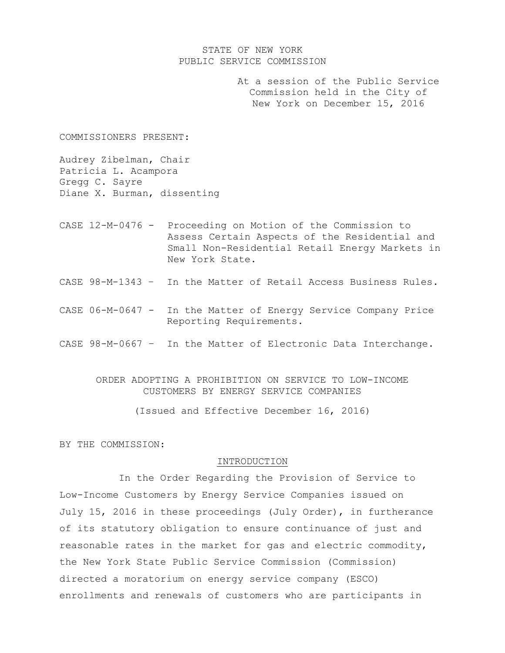### STATE OF NEW YORK PUBLIC SERVICE COMMISSION

 At a session of the Public Service Commission held in the City of New York on December 15, 2016

COMMISSIONERS PRESENT:

Audrey Zibelman, Chair Patricia L. Acampora Gregg C. Sayre Diane X. Burman, dissenting

- CASE 12-M-0476 Proceeding on Motion of the Commission to Assess Certain Aspects of the Residential and Small Non-Residential Retail Energy Markets in New York State.
- CASE 98-M-1343 In the Matter of Retail Access Business Rules.
- CASE 06-M-0647 In the Matter of Energy Service Company Price Reporting Requirements.
- CASE 98-M-0667 In the Matter of Electronic Data Interchange.

ORDER ADOPTING A PROHIBITION ON SERVICE TO LOW-INCOME CUSTOMERS BY ENERGY SERVICE COMPANIES

(Issued and Effective December 16, 2016)

BY THE COMMISSION:

#### INTRODUCTION

In the Order Regarding the Provision of Service to Low-Income Customers by Energy Service Companies issued on July 15, 2016 in these proceedings (July Order), in furtherance of its statutory obligation to ensure continuance of just and reasonable rates in the market for gas and electric commodity, the New York State Public Service Commission (Commission) directed a moratorium on energy service company (ESCO) enrollments and renewals of customers who are participants in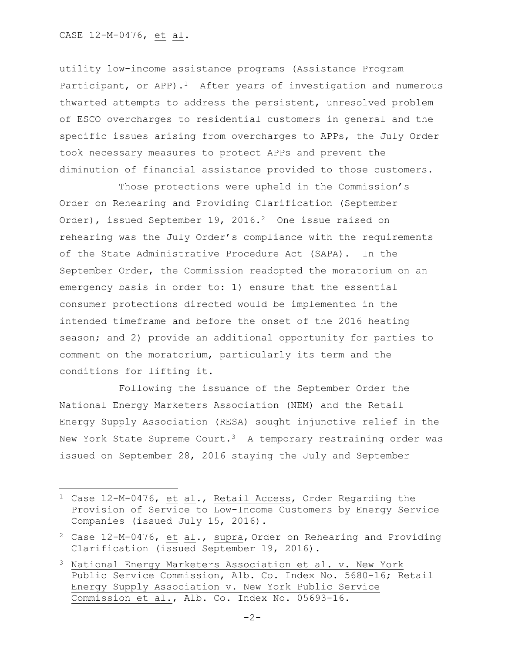$\overline{a}$ 

utility low-income assistance programs (Assistance Program Participant, or APP).<sup>1</sup> After years of investigation and numerous thwarted attempts to address the persistent, unresolved problem of ESCO overcharges to residential customers in general and the specific issues arising from overcharges to APPs, the July Order took necessary measures to protect APPs and prevent the diminution of financial assistance provided to those customers.

Those protections were upheld in the Commission's Order on Rehearing and Providing Clarification (September Order), issued September 19, 2016.<sup>2</sup> One issue raised on rehearing was the July Order's compliance with the requirements of the State Administrative Procedure Act (SAPA). In the September Order, the Commission readopted the moratorium on an emergency basis in order to: 1) ensure that the essential consumer protections directed would be implemented in the intended timeframe and before the onset of the 2016 heating season; and 2) provide an additional opportunity for parties to comment on the moratorium, particularly its term and the conditions for lifting it.

Following the issuance of the September Order the National Energy Marketers Association (NEM) and the Retail Energy Supply Association (RESA) sought injunctive relief in the New York State Supreme Court.<sup>3</sup> A temporary restraining order was issued on September 28, 2016 staying the July and September

<sup>1</sup> Case 12-M-0476, et al., Retail Access, Order Regarding the Provision of Service to Low-Income Customers by Energy Service Companies (issued July 15, 2016).

 $2$  Case 12-M-0476, et al., supra, Order on Rehearing and Providing Clarification (issued September 19, 2016).

<sup>3</sup> National Energy Marketers Association et al. v. New York Public Service Commission, Alb. Co. Index No. 5680-16; Retail Energy Supply Association v. New York Public Service Commission et al., Alb. Co. Index No. 05693-16.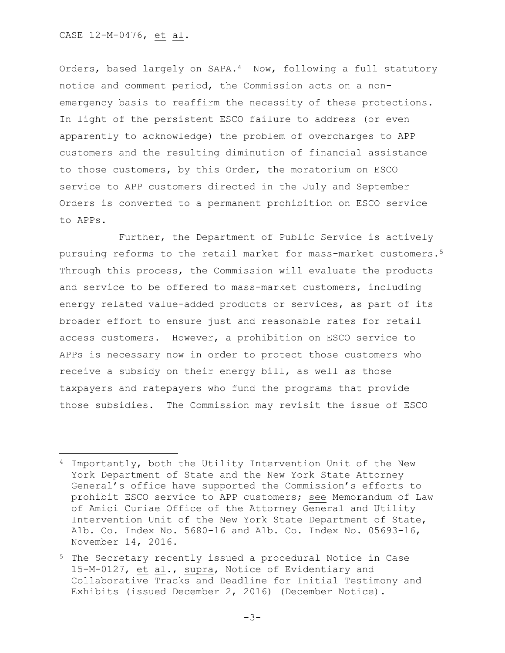Orders, based largely on SAPA.4 Now, following a full statutory notice and comment period, the Commission acts on a nonemergency basis to reaffirm the necessity of these protections. In light of the persistent ESCO failure to address (or even apparently to acknowledge) the problem of overcharges to APP customers and the resulting diminution of financial assistance to those customers, by this Order, the moratorium on ESCO service to APP customers directed in the July and September Orders is converted to a permanent prohibition on ESCO service to APPs.

Further, the Department of Public Service is actively pursuing reforms to the retail market for mass-market customers.<sup>5</sup> Through this process, the Commission will evaluate the products and service to be offered to mass-market customers, including energy related value-added products or services, as part of its broader effort to ensure just and reasonable rates for retail access customers. However, a prohibition on ESCO service to APPs is necessary now in order to protect those customers who receive a subsidy on their energy bill, as well as those taxpayers and ratepayers who fund the programs that provide those subsidies. The Commission may revisit the issue of ESCO

<sup>4</sup> Importantly, both the Utility Intervention Unit of the New York Department of State and the New York State Attorney General's office have supported the Commission's efforts to prohibit ESCO service to APP customers; see Memorandum of Law of Amici Curiae Office of the Attorney General and Utility Intervention Unit of the New York State Department of State, Alb. Co. Index No. 5680-16 and Alb. Co. Index No. 05693-16, November 14, 2016.

<sup>5</sup> The Secretary recently issued a procedural Notice in Case 15-M-0127, et al., supra, Notice of Evidentiary and Collaborative Tracks and Deadline for Initial Testimony and Exhibits (issued December 2, 2016) (December Notice).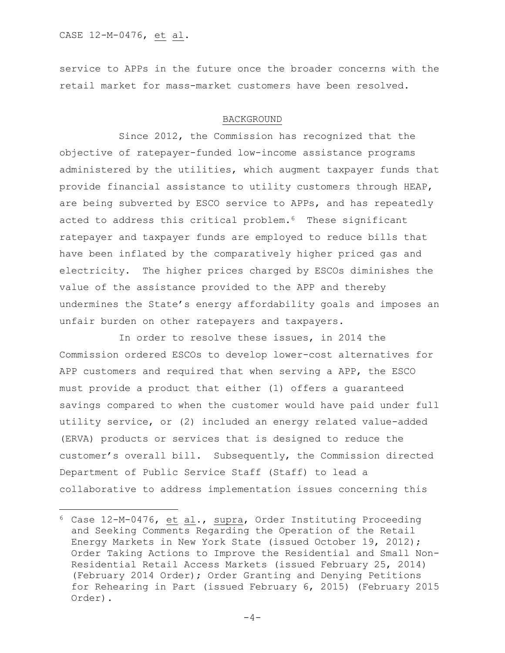l

service to APPs in the future once the broader concerns with the retail market for mass-market customers have been resolved.

#### BACKGROUND

Since 2012, the Commission has recognized that the objective of ratepayer-funded low-income assistance programs administered by the utilities, which augment taxpayer funds that provide financial assistance to utility customers through HEAP, are being subverted by ESCO service to APPs, and has repeatedly acted to address this critical problem.<sup>6</sup> These significant ratepayer and taxpayer funds are employed to reduce bills that have been inflated by the comparatively higher priced gas and electricity. The higher prices charged by ESCOs diminishes the value of the assistance provided to the APP and thereby undermines the State's energy affordability goals and imposes an unfair burden on other ratepayers and taxpayers.

In order to resolve these issues, in 2014 the Commission ordered ESCOs to develop lower-cost alternatives for APP customers and required that when serving a APP, the ESCO must provide a product that either (1) offers a guaranteed savings compared to when the customer would have paid under full utility service, or (2) included an energy related value-added (ERVA) products or services that is designed to reduce the customer's overall bill. Subsequently, the Commission directed Department of Public Service Staff (Staff) to lead a collaborative to address implementation issues concerning this

 $6$  Case 12-M-0476, et al., supra, Order Instituting Proceeding and Seeking Comments Regarding the Operation of the Retail Energy Markets in New York State (issued October 19, 2012); Order Taking Actions to Improve the Residential and Small Non-Residential Retail Access Markets (issued February 25, 2014) (February 2014 Order); Order Granting and Denying Petitions for Rehearing in Part (issued February 6, 2015) (February 2015 Order).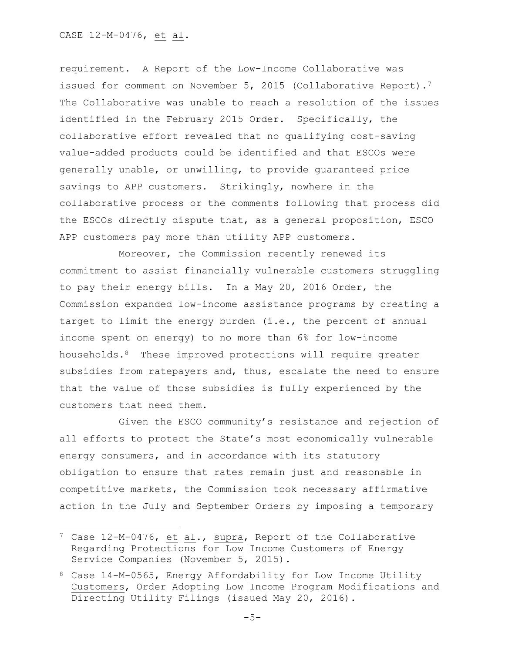requirement. A Report of the Low-Income Collaborative was issued for comment on November 5, 2015 (Collaborative Report).<sup>7</sup> The Collaborative was unable to reach a resolution of the issues identified in the February 2015 Order. Specifically, the collaborative effort revealed that no qualifying cost-saving value-added products could be identified and that ESCOs were generally unable, or unwilling, to provide guaranteed price savings to APP customers. Strikingly, nowhere in the collaborative process or the comments following that process did the ESCOs directly dispute that, as a general proposition, ESCO APP customers pay more than utility APP customers.

Moreover, the Commission recently renewed its commitment to assist financially vulnerable customers struggling to pay their energy bills. In a May 20, 2016 Order, the Commission expanded low-income assistance programs by creating a target to limit the energy burden (i.e., the percent of annual income spent on energy) to no more than 6% for low-income households.8 These improved protections will require greater subsidies from ratepayers and, thus, escalate the need to ensure that the value of those subsidies is fully experienced by the customers that need them.

Given the ESCO community's resistance and rejection of all efforts to protect the State's most economically vulnerable energy consumers, and in accordance with its statutory obligation to ensure that rates remain just and reasonable in competitive markets, the Commission took necessary affirmative action in the July and September Orders by imposing a temporary

<sup>7</sup> Case 12-M-0476, et al., supra, Report of the Collaborative Regarding Protections for Low Income Customers of Energy Service Companies (November 5, 2015).

<sup>8</sup> Case 14-M-0565, Energy Affordability for Low Income Utility Customers, Order Adopting Low Income Program Modifications and Directing Utility Filings (issued May 20, 2016).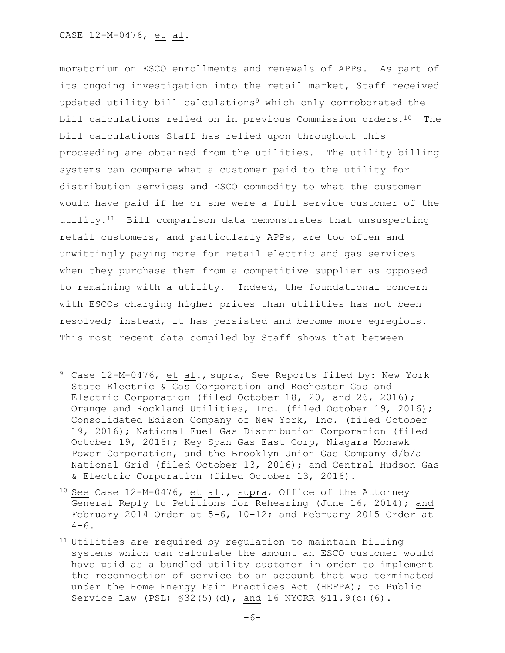$\overline{a}$ 

moratorium on ESCO enrollments and renewals of APPs. As part of its ongoing investigation into the retail market, Staff received updated utility bill calculations<sup>9</sup> which only corroborated the bill calculations relied on in previous Commission orders.10 The bill calculations Staff has relied upon throughout this proceeding are obtained from the utilities. The utility billing systems can compare what a customer paid to the utility for distribution services and ESCO commodity to what the customer would have paid if he or she were a full service customer of the utility.<sup>11</sup> Bill comparison data demonstrates that unsuspecting retail customers, and particularly APPs, are too often and unwittingly paying more for retail electric and gas services when they purchase them from a competitive supplier as opposed to remaining with a utility. Indeed, the foundational concern with ESCOs charging higher prices than utilities has not been resolved; instead, it has persisted and become more egregious. This most recent data compiled by Staff shows that between

<sup>9</sup> Case 12-M-0476, et al., supra, See Reports filed by: New York State Electric & Gas Corporation and Rochester Gas and Electric Corporation (filed October 18, 20, and 26, 2016); Orange and Rockland Utilities, Inc. (filed October 19, 2016); Consolidated Edison Company of New York, Inc. (filed October 19, 2016); National Fuel Gas Distribution Corporation (filed October 19, 2016); Key Span Gas East Corp, Niagara Mohawk Power Corporation, and the Brooklyn Union Gas Company d/b/a National Grid (filed October 13, 2016); and Central Hudson Gas & Electric Corporation (filed October 13, 2016).

 $10$  See Case 12-M-0476, et al., supra, Office of the Attorney General Reply to Petitions for Rehearing (June 16, 2014); and February 2014 Order at 5-6, 10-12; and February 2015 Order at  $4-6$ .

<sup>11</sup> Utilities are required by regulation to maintain billing systems which can calculate the amount an ESCO customer would have paid as a bundled utility customer in order to implement the reconnection of service to an account that was terminated under the Home Energy Fair Practices Act (HEFPA); to Public Service Law (PSL) §32(5)(d), and 16 NYCRR §11.9(c)(6).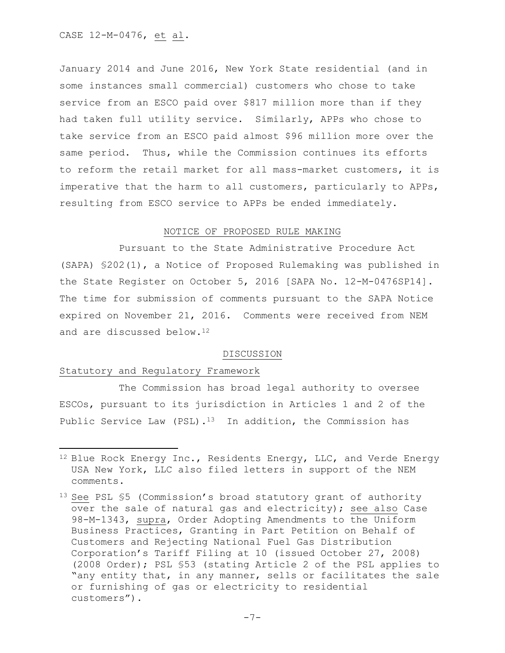CASE 12-M-0476, et al.

January 2014 and June 2016, New York State residential (and in some instances small commercial) customers who chose to take service from an ESCO paid over \$817 million more than if they had taken full utility service. Similarly, APPs who chose to take service from an ESCO paid almost \$96 million more over the same period. Thus, while the Commission continues its efforts to reform the retail market for all mass-market customers, it is imperative that the harm to all customers, particularly to APPs, resulting from ESCO service to APPs be ended immediately.

## NOTICE OF PROPOSED RULE MAKING

Pursuant to the State Administrative Procedure Act (SAPA) §202(1), a Notice of Proposed Rulemaking was published in the State Register on October 5, 2016 [SAPA No. 12-M-0476SP14]. The time for submission of comments pursuant to the SAPA Notice expired on November 21, 2016. Comments were received from NEM and are discussed below.<sup>12</sup>

### DISCUSSION

### Statutory and Regulatory Framework

 $\overline{\phantom{a}}$ 

The Commission has broad legal authority to oversee ESCOs, pursuant to its jurisdiction in Articles 1 and 2 of the Public Service Law (PSL).<sup>13</sup> In addition, the Commission has

<sup>12</sup> Blue Rock Energy Inc., Residents Energy, LLC, and Verde Energy USA New York, LLC also filed letters in support of the NEM comments.

<sup>13</sup> See PSL §5 (Commission's broad statutory grant of authority over the sale of natural gas and electricity); see also Case 98-M-1343, supra, Order Adopting Amendments to the Uniform Business Practices, Granting in Part Petition on Behalf of Customers and Rejecting National Fuel Gas Distribution Corporation's Tariff Filing at 10 (issued October 27, 2008) (2008 Order); PSL §53 (stating Article 2 of the PSL applies to "any entity that, in any manner, sells or facilitates the sale or furnishing of gas or electricity to residential customers").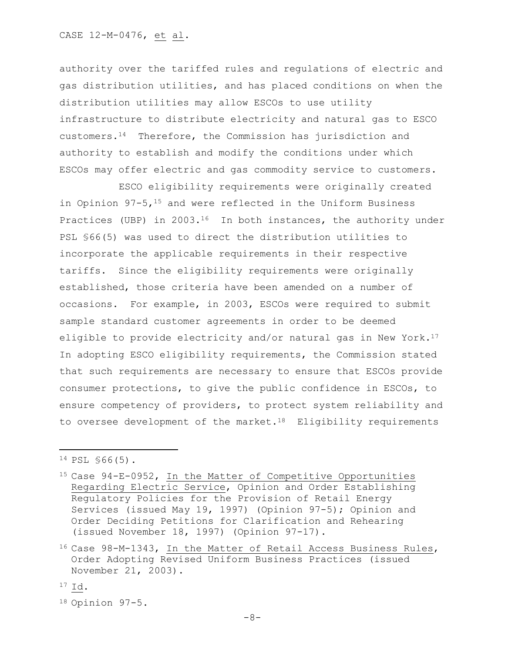authority over the tariffed rules and regulations of electric and gas distribution utilities, and has placed conditions on when the distribution utilities may allow ESCOs to use utility infrastructure to distribute electricity and natural gas to ESCO customers.14 Therefore, the Commission has jurisdiction and authority to establish and modify the conditions under which ESCOs may offer electric and gas commodity service to customers.

ESCO eligibility requirements were originally created in Opinion  $97-5$ ,  $15$  and were reflected in the Uniform Business Practices (UBP) in 2003.<sup>16</sup> In both instances, the authority under PSL §66(5) was used to direct the distribution utilities to incorporate the applicable requirements in their respective tariffs. Since the eligibility requirements were originally established, those criteria have been amended on a number of occasions. For example, in 2003, ESCOs were required to submit sample standard customer agreements in order to be deemed eligible to provide electricity and/or natural gas in New York.<sup>17</sup> In adopting ESCO eligibility requirements, the Commission stated that such requirements are necessary to ensure that ESCOs provide consumer protections, to give the public confidence in ESCOs, to ensure competency of providers, to protect system reliability and to oversee development of the market.<sup>18</sup> Eligibility requirements

l

<sup>14</sup> PSL §66(5).

<sup>15</sup> Case 94-E-0952, In the Matter of Competitive Opportunities Regarding Electric Service, Opinion and Order Establishing Regulatory Policies for the Provision of Retail Energy Services (issued May 19, 1997) (Opinion 97-5); Opinion and Order Deciding Petitions for Clarification and Rehearing (issued November 18, 1997) (Opinion 97-17).

<sup>16</sup> Case 98-M-1343, In the Matter of Retail Access Business Rules, Order Adopting Revised Uniform Business Practices (issued November 21, 2003).

 $17$  Id.

<sup>18</sup> Opinion 97-5.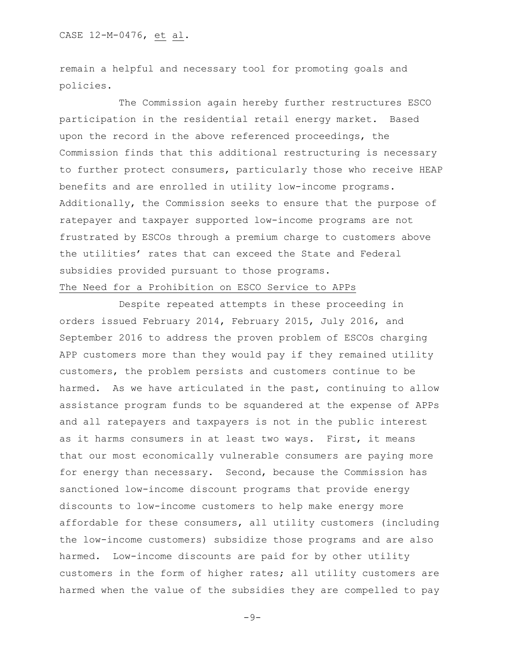remain a helpful and necessary tool for promoting goals and policies.

The Commission again hereby further restructures ESCO participation in the residential retail energy market. Based upon the record in the above referenced proceedings, the Commission finds that this additional restructuring is necessary to further protect consumers, particularly those who receive HEAP benefits and are enrolled in utility low-income programs. Additionally, the Commission seeks to ensure that the purpose of ratepayer and taxpayer supported low-income programs are not frustrated by ESCOs through a premium charge to customers above the utilities' rates that can exceed the State and Federal subsidies provided pursuant to those programs.

# The Need for a Prohibition on ESCO Service to APPs

Despite repeated attempts in these proceeding in orders issued February 2014, February 2015, July 2016, and September 2016 to address the proven problem of ESCOs charging APP customers more than they would pay if they remained utility customers, the problem persists and customers continue to be harmed. As we have articulated in the past, continuing to allow assistance program funds to be squandered at the expense of APPs and all ratepayers and taxpayers is not in the public interest as it harms consumers in at least two ways. First, it means that our most economically vulnerable consumers are paying more for energy than necessary. Second, because the Commission has sanctioned low-income discount programs that provide energy discounts to low-income customers to help make energy more affordable for these consumers, all utility customers (including the low-income customers) subsidize those programs and are also harmed. Low-income discounts are paid for by other utility customers in the form of higher rates; all utility customers are harmed when the value of the subsidies they are compelled to pay

-9-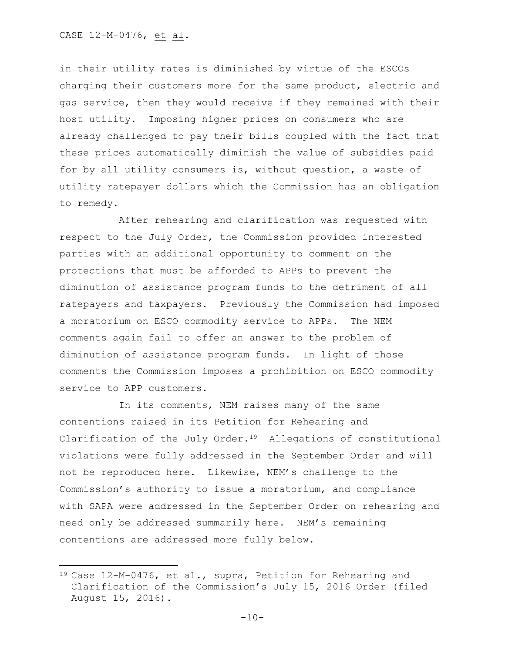in their utility rates is diminished by virtue of the ESCOs charging their customers more for the same product, electric and gas service, then they would receive if they remained with their host utility. Imposing higher prices on consumers who are already challenged to pay their bills coupled with the fact that these prices automatically diminish the value of subsidies paid for by all utility consumers is, without question, a waste of utility ratepayer dollars which the Commission has an obligation to remedy.

After rehearing and clarification was requested with respect to the July Order, the Commission provided interested parties with an additional opportunity to comment on the protections that must be afforded to APPs to prevent the diminution of assistance program funds to the detriment of all ratepayers and taxpayers. Previously the Commission had imposed a moratorium on ESCO commodity service to APPs. The NEM comments again fail to offer an answer to the problem of diminution of assistance program funds. In light of those comments the Commission imposes a prohibition on ESCO commodity service to APP customers.

In its comments, NEM raises many of the same contentions raised in its Petition for Rehearing and Clarification of the July Order.19 Allegations of constitutional violations were fully addressed in the September Order and will not be reproduced here. Likewise, NEM's challenge to the Commission's authority to issue a moratorium, and compliance with SAPA were addressed in the September Order on rehearing and need only be addressed summarily here. NEM's remaining contentions are addressed more fully below.

<sup>19</sup> Case 12-M-0476, et al., supra, Petition for Rehearing and Clarification of the Commission's July 15, 2016 Order (filed August 15, 2016).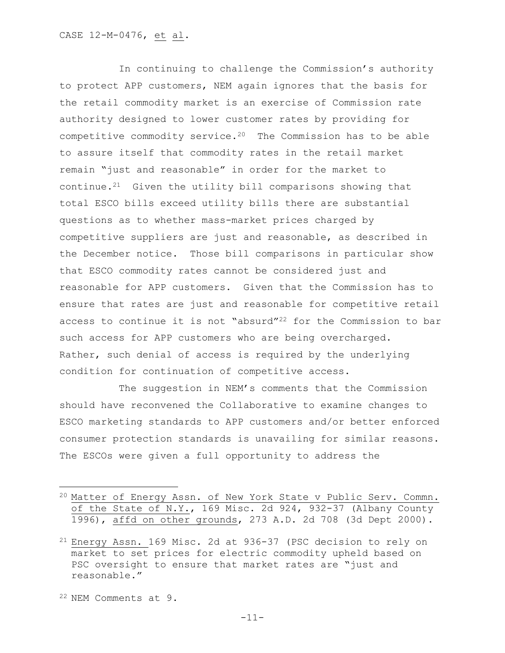In continuing to challenge the Commission's authority to protect APP customers, NEM again ignores that the basis for the retail commodity market is an exercise of Commission rate authority designed to lower customer rates by providing for competitive commodity service.20 The Commission has to be able to assure itself that commodity rates in the retail market remain "just and reasonable" in order for the market to continue.21 Given the utility bill comparisons showing that total ESCO bills exceed utility bills there are substantial questions as to whether mass-market prices charged by competitive suppliers are just and reasonable, as described in the December notice. Those bill comparisons in particular show that ESCO commodity rates cannot be considered just and reasonable for APP customers. Given that the Commission has to ensure that rates are just and reasonable for competitive retail access to continue it is not "absurd"<sup>22</sup> for the Commission to bar such access for APP customers who are being overcharged. Rather, such denial of access is required by the underlying condition for continuation of competitive access.

The suggestion in NEM's comments that the Commission should have reconvened the Collaborative to examine changes to ESCO marketing standards to APP customers and/or better enforced consumer protection standards is unavailing for similar reasons. The ESCOs were given a full opportunity to address the

 $\overline{\phantom{a}}$ 

<sup>20</sup> Matter of Energy Assn. of New York State v Public Serv. Commn. of the State of N.Y., 169 Misc. 2d 924, 932-37 (Albany County 1996), affd on other grounds, 273 A.D. 2d 708 (3d Dept 2000).

<sup>21</sup> Energy Assn. 169 Misc. 2d at 936-37 (PSC decision to rely on market to set prices for electric commodity upheld based on PSC oversight to ensure that market rates are "just and reasonable."

<sup>22</sup> NEM Comments at 9.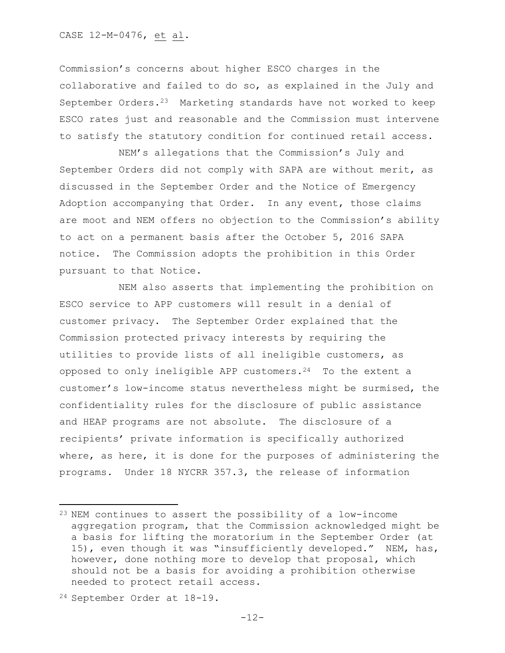CASE 12-M-0476, et al.

Commission's concerns about higher ESCO charges in the collaborative and failed to do so, as explained in the July and September Orders.<sup>23</sup> Marketing standards have not worked to keep ESCO rates just and reasonable and the Commission must intervene to satisfy the statutory condition for continued retail access.

NEM's allegations that the Commission's July and September Orders did not comply with SAPA are without merit, as discussed in the September Order and the Notice of Emergency Adoption accompanying that Order. In any event, those claims are moot and NEM offers no objection to the Commission's ability to act on a permanent basis after the October 5, 2016 SAPA notice. The Commission adopts the prohibition in this Order pursuant to that Notice.

NEM also asserts that implementing the prohibition on ESCO service to APP customers will result in a denial of customer privacy. The September Order explained that the Commission protected privacy interests by requiring the utilities to provide lists of all ineligible customers, as opposed to only ineligible APP customers.<sup>24</sup> To the extent a customer's low-income status nevertheless might be surmised, the confidentiality rules for the disclosure of public assistance and HEAP programs are not absolute. The disclosure of a recipients' private information is specifically authorized where, as here, it is done for the purposes of administering the programs. Under 18 NYCRR 357.3, the release of information

l

<sup>23</sup> NEM continues to assert the possibility of a low-income aggregation program, that the Commission acknowledged might be a basis for lifting the moratorium in the September Order (at 15), even though it was "insufficiently developed." NEM, has, however, done nothing more to develop that proposal, which should not be a basis for avoiding a prohibition otherwise needed to protect retail access.

<sup>24</sup> September Order at 18-19.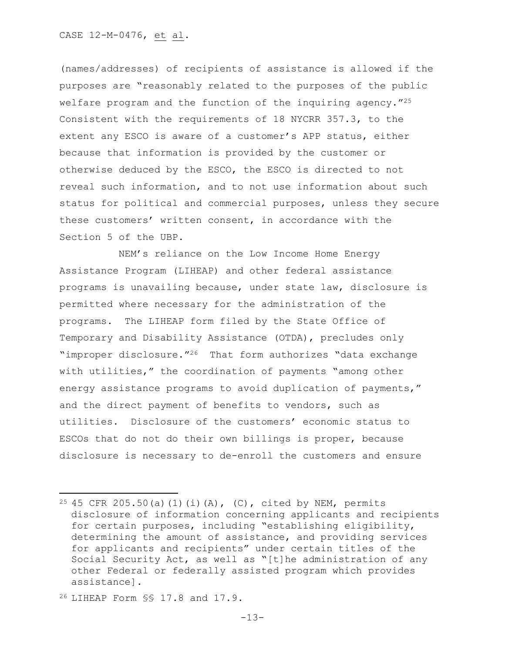(names/addresses) of recipients of assistance is allowed if the purposes are "reasonably related to the purposes of the public welfare program and the function of the inquiring agency."<sup>25</sup> Consistent with the requirements of 18 NYCRR 357.3, to the extent any ESCO is aware of a customer's APP status, either because that information is provided by the customer or otherwise deduced by the ESCO, the ESCO is directed to not reveal such information, and to not use information about such status for political and commercial purposes, unless they secure these customers' written consent, in accordance with the Section 5 of the UBP.

NEM's reliance on the Low Income Home Energy Assistance Program (LIHEAP) and other federal assistance programs is unavailing because, under state law, disclosure is permitted where necessary for the administration of the programs. The LIHEAP form filed by the State Office of Temporary and Disability Assistance (OTDA), precludes only "improper disclosure."26 That form authorizes "data exchange with utilities," the coordination of payments "among other energy assistance programs to avoid duplication of payments," and the direct payment of benefits to vendors, such as utilities. Disclosure of the customers' economic status to ESCOs that do not do their own billings is proper, because disclosure is necessary to de-enroll the customers and ensure

<sup>26</sup> LIHEAP Form §§ 17.8 and 17.9.

 $\overline{a}$ 

<sup>&</sup>lt;sup>25</sup> 45 CFR 205.50(a)(1)(i)(A), (C), cited by NEM, permits disclosure of information concerning applicants and recipients for certain purposes, including "establishing eligibility, determining the amount of assistance, and providing services for applicants and recipients" under certain titles of the Social Security Act, as well as "[t]he administration of any other Federal or federally assisted program which provides assistance].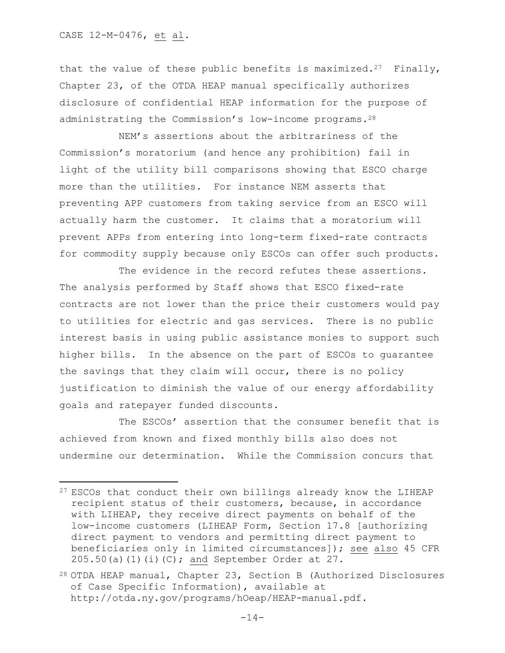that the value of these public benefits is maximized.<sup>27</sup> Finally, Chapter 23, of the OTDA HEAP manual specifically authorizes disclosure of confidential HEAP information for the purpose of administrating the Commission's low-income programs.<sup>28</sup>

NEM's assertions about the arbitrariness of the Commission's moratorium (and hence any prohibition) fail in light of the utility bill comparisons showing that ESCO charge more than the utilities. For instance NEM asserts that preventing APP customers from taking service from an ESCO will actually harm the customer. It claims that a moratorium will prevent APPs from entering into long-term fixed-rate contracts for commodity supply because only ESCOs can offer such products.

The evidence in the record refutes these assertions. The analysis performed by Staff shows that ESCO fixed-rate contracts are not lower than the price their customers would pay to utilities for electric and gas services. There is no public interest basis in using public assistance monies to support such higher bills. In the absence on the part of ESCOs to guarantee the savings that they claim will occur, there is no policy justification to diminish the value of our energy affordability goals and ratepayer funded discounts.

The ESCOs' assertion that the consumer benefit that is achieved from known and fixed monthly bills also does not undermine our determination. While the Commission concurs that

 $27$  ESCOs that conduct their own billings already know the LIHEAP recipient status of their customers, because, in accordance with LIHEAP, they receive direct payments on behalf of the low-income customers (LIHEAP Form, Section 17.8 [authorizing direct payment to vendors and permitting direct payment to beneficiaries only in limited circumstances]); see also 45 CFR  $205.50(a)(1)(i)(C)$ ; and September Order at 27.

<sup>28</sup> OTDA HEAP manual, Chapter 23, Section B (Authorized Disclosures of Case Specific Information), available at http://otda.ny.gov/programs/hOeap/HEAP-manual.pdf.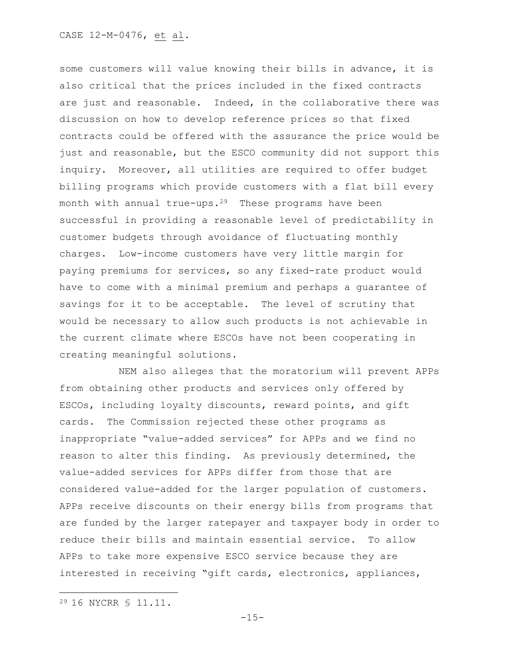some customers will value knowing their bills in advance, it is also critical that the prices included in the fixed contracts are just and reasonable. Indeed, in the collaborative there was discussion on how to develop reference prices so that fixed contracts could be offered with the assurance the price would be just and reasonable, but the ESCO community did not support this inquiry. Moreover, all utilities are required to offer budget billing programs which provide customers with a flat bill every month with annual true-ups.<sup>29</sup> These programs have been successful in providing a reasonable level of predictability in customer budgets through avoidance of fluctuating monthly charges. Low-income customers have very little margin for paying premiums for services, so any fixed-rate product would have to come with a minimal premium and perhaps a guarantee of savings for it to be acceptable. The level of scrutiny that would be necessary to allow such products is not achievable in the current climate where ESCOs have not been cooperating in creating meaningful solutions.

NEM also alleges that the moratorium will prevent APPs from obtaining other products and services only offered by ESCOs, including loyalty discounts, reward points, and gift cards. The Commission rejected these other programs as inappropriate "value-added services" for APPs and we find no reason to alter this finding. As previously determined, the value-added services for APPs differ from those that are considered value-added for the larger population of customers. APPs receive discounts on their energy bills from programs that are funded by the larger ratepayer and taxpayer body in order to reduce their bills and maintain essential service. To allow APPs to take more expensive ESCO service because they are interested in receiving "gift cards, electronics, appliances,

<sup>29</sup> 16 NYCRR § 11.11.

 $\overline{a}$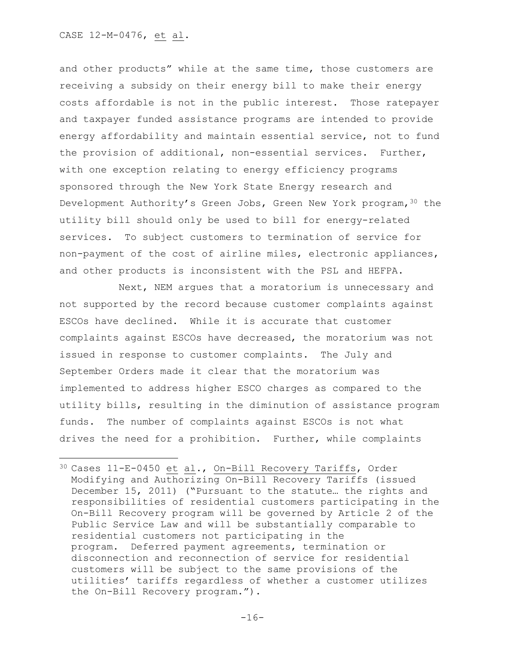and other products" while at the same time, those customers are receiving a subsidy on their energy bill to make their energy costs affordable is not in the public interest. Those ratepayer and taxpayer funded assistance programs are intended to provide energy affordability and maintain essential service, not to fund the provision of additional, non-essential services. Further, with one exception relating to energy efficiency programs sponsored through the New York State Energy research and Development Authority's Green Jobs, Green New York program, 30 the utility bill should only be used to bill for energy-related services. To subject customers to termination of service for non-payment of the cost of airline miles, electronic appliances, and other products is inconsistent with the PSL and HEFPA.

Next, NEM argues that a moratorium is unnecessary and not supported by the record because customer complaints against ESCOs have declined. While it is accurate that customer complaints against ESCOs have decreased, the moratorium was not issued in response to customer complaints. The July and September Orders made it clear that the moratorium was implemented to address higher ESCO charges as compared to the utility bills, resulting in the diminution of assistance program funds. The number of complaints against ESCOs is not what drives the need for a prohibition. Further, while complaints

<sup>30</sup> Cases 11-E-0450 et al., On-Bill Recovery Tariffs, Order Modifying and Authorizing On-Bill Recovery Tariffs (issued December 15, 2011) ("Pursuant to the statute… the rights and responsibilities of residential customers participating in the On-Bill Recovery program will be governed by Article 2 of the Public Service Law and will be substantially comparable to residential customers not participating in the program. Deferred payment agreements, termination or disconnection and reconnection of service for residential customers will be subject to the same provisions of the utilities' tariffs regardless of whether a customer utilizes the On-Bill Recovery program.").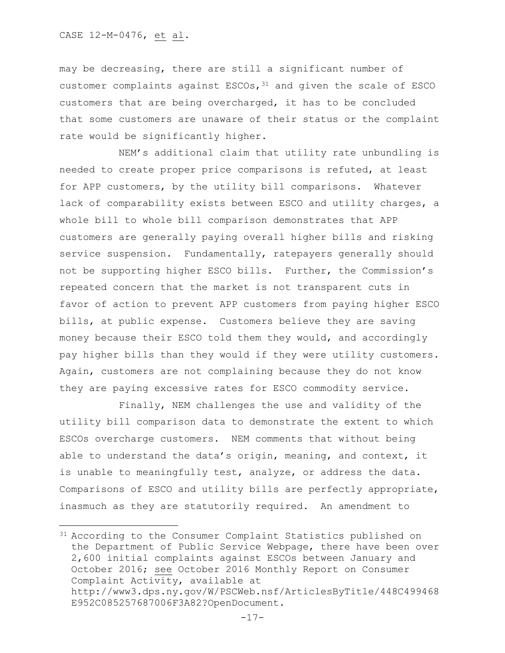may be decreasing, there are still a significant number of customer complaints against ESCOs,  $31$  and given the scale of ESCO customers that are being overcharged, it has to be concluded that some customers are unaware of their status or the complaint rate would be significantly higher.

NEM's additional claim that utility rate unbundling is needed to create proper price comparisons is refuted, at least for APP customers, by the utility bill comparisons. Whatever lack of comparability exists between ESCO and utility charges, a whole bill to whole bill comparison demonstrates that APP customers are generally paying overall higher bills and risking service suspension. Fundamentally, ratepayers generally should not be supporting higher ESCO bills. Further, the Commission's repeated concern that the market is not transparent cuts in favor of action to prevent APP customers from paying higher ESCO bills, at public expense. Customers believe they are saving money because their ESCO told them they would, and accordingly pay higher bills than they would if they were utility customers. Again, customers are not complaining because they do not know they are paying excessive rates for ESCO commodity service.

Finally, NEM challenges the use and validity of the utility bill comparison data to demonstrate the extent to which ESCOs overcharge customers. NEM comments that without being able to understand the data's origin, meaning, and context, it is unable to meaningfully test, analyze, or address the data. Comparisons of ESCO and utility bills are perfectly appropriate, inasmuch as they are statutorily required. An amendment to

<sup>&</sup>lt;sup>31</sup> According to the Consumer Complaint Statistics published on the Department of Public Service Webpage, there have been over 2,600 initial complaints against ESCOs between January and October 2016; see October 2016 Monthly Report on Consumer Complaint Activity, available at http://www3.dps.ny.gov/W/PSCWeb.nsf/ArticlesByTitle/448C499468 E952C085257687006F3A82?OpenDocument.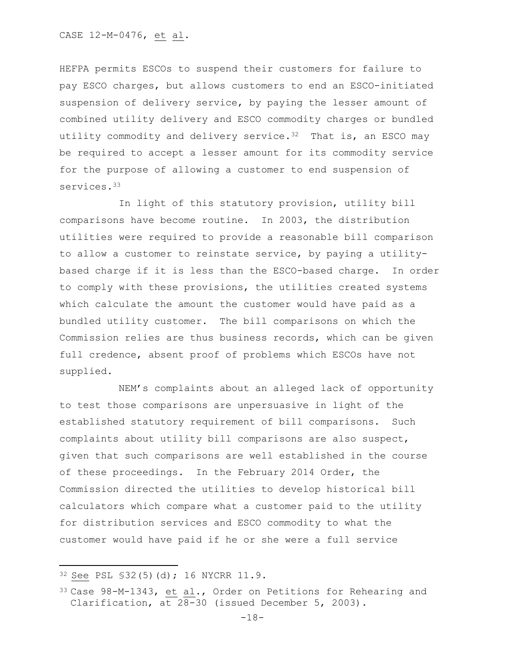HEFPA permits ESCOs to suspend their customers for failure to pay ESCO charges, but allows customers to end an ESCO-initiated suspension of delivery service, by paying the lesser amount of combined utility delivery and ESCO commodity charges or bundled utility commodity and delivery service.  $32$  That is, an ESCO may be required to accept a lesser amount for its commodity service for the purpose of allowing a customer to end suspension of services.<sup>33</sup>

In light of this statutory provision, utility bill comparisons have become routine. In 2003, the distribution utilities were required to provide a reasonable bill comparison to allow a customer to reinstate service, by paying a utilitybased charge if it is less than the ESCO-based charge. In order to comply with these provisions, the utilities created systems which calculate the amount the customer would have paid as a bundled utility customer. The bill comparisons on which the Commission relies are thus business records, which can be given full credence, absent proof of problems which ESCOs have not supplied.

NEM's complaints about an alleged lack of opportunity to test those comparisons are unpersuasive in light of the established statutory requirement of bill comparisons. Such complaints about utility bill comparisons are also suspect, given that such comparisons are well established in the course of these proceedings. In the February 2014 Order, the Commission directed the utilities to develop historical bill calculators which compare what a customer paid to the utility for distribution services and ESCO commodity to what the customer would have paid if he or she were a full service

 $\overline{\phantom{a}}$ 

<sup>32</sup> See PSL §32(5)(d); 16 NYCRR 11.9.

<sup>33</sup> Case 98-M-1343, et al., Order on Petitions for Rehearing and Clarification, at 28-30 (issued December 5, 2003).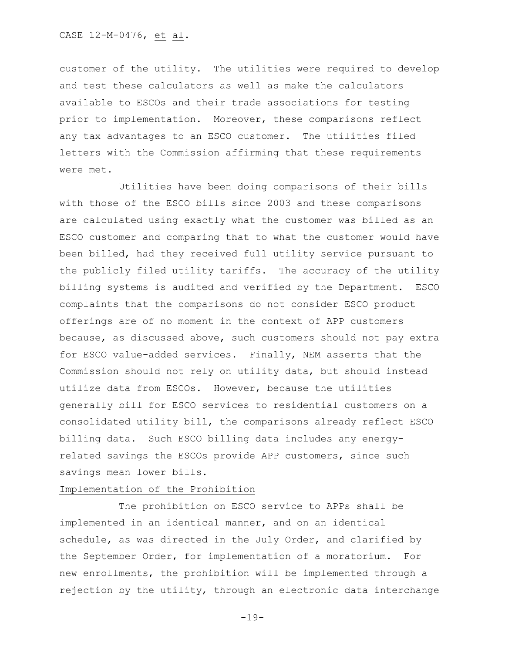customer of the utility. The utilities were required to develop and test these calculators as well as make the calculators available to ESCOs and their trade associations for testing prior to implementation. Moreover, these comparisons reflect any tax advantages to an ESCO customer. The utilities filed letters with the Commission affirming that these requirements were met.

Utilities have been doing comparisons of their bills with those of the ESCO bills since 2003 and these comparisons are calculated using exactly what the customer was billed as an ESCO customer and comparing that to what the customer would have been billed, had they received full utility service pursuant to the publicly filed utility tariffs. The accuracy of the utility billing systems is audited and verified by the Department. ESCO complaints that the comparisons do not consider ESCO product offerings are of no moment in the context of APP customers because, as discussed above, such customers should not pay extra for ESCO value-added services. Finally, NEM asserts that the Commission should not rely on utility data, but should instead utilize data from ESCOs. However, because the utilities generally bill for ESCO services to residential customers on a consolidated utility bill, the comparisons already reflect ESCO billing data. Such ESCO billing data includes any energyrelated savings the ESCOs provide APP customers, since such savings mean lower bills.

# Implementation of the Prohibition

The prohibition on ESCO service to APPs shall be implemented in an identical manner, and on an identical schedule, as was directed in the July Order, and clarified by the September Order, for implementation of a moratorium. For new enrollments, the prohibition will be implemented through a rejection by the utility, through an electronic data interchange

 $-19-$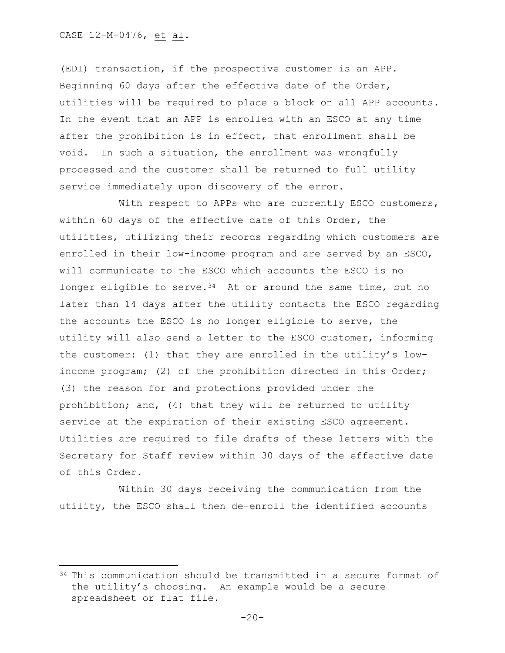(EDI) transaction, if the prospective customer is an APP. Beginning 60 days after the effective date of the Order, utilities will be required to place a block on all APP accounts. In the event that an APP is enrolled with an ESCO at any time after the prohibition is in effect, that enrollment shall be void. In such a situation, the enrollment was wrongfully processed and the customer shall be returned to full utility service immediately upon discovery of the error.

With respect to APPs who are currently ESCO customers, within 60 days of the effective date of this Order, the utilities, utilizing their records regarding which customers are enrolled in their low-income program and are served by an ESCO, will communicate to the ESCO which accounts the ESCO is no longer eligible to serve.  $34$  At or around the same time, but no later than 14 days after the utility contacts the ESCO regarding the accounts the ESCO is no longer eligible to serve, the utility will also send a letter to the ESCO customer, informing the customer: (1) that they are enrolled in the utility's lowincome program; (2) of the prohibition directed in this Order; (3) the reason for and protections provided under the prohibition; and, (4) that they will be returned to utility service at the expiration of their existing ESCO agreement. Utilities are required to file drafts of these letters with the Secretary for Staff review within 30 days of the effective date of this Order.

Within 30 days receiving the communication from the utility, the ESCO shall then de-enroll the identified accounts

 $34$  This communication should be transmitted in a secure format of the utility's choosing. An example would be a secure spreadsheet or flat file.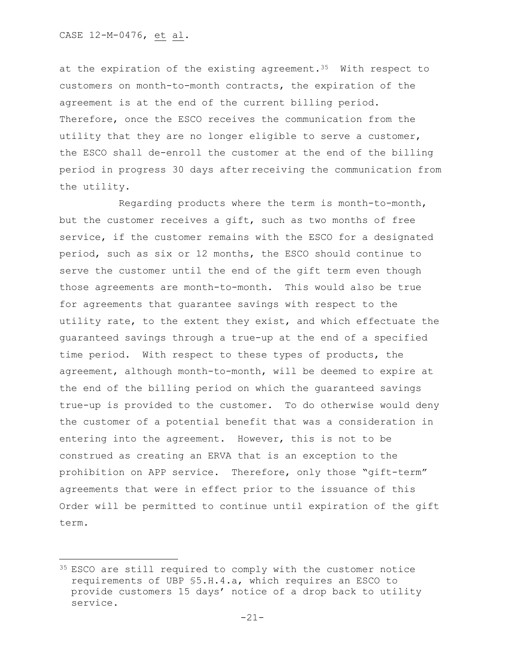l

at the expiration of the existing agreement.<sup>35</sup> With respect to customers on month-to-month contracts, the expiration of the agreement is at the end of the current billing period. Therefore, once the ESCO receives the communication from the utility that they are no longer eligible to serve a customer, the ESCO shall de-enroll the customer at the end of the billing period in progress 30 days after receiving the communication from the utility.

Regarding products where the term is month-to-month, but the customer receives a gift, such as two months of free service, if the customer remains with the ESCO for a designated period, such as six or 12 months, the ESCO should continue to serve the customer until the end of the gift term even though those agreements are month-to-month. This would also be true for agreements that guarantee savings with respect to the utility rate, to the extent they exist, and which effectuate the guaranteed savings through a true-up at the end of a specified time period. With respect to these types of products, the agreement, although month-to-month, will be deemed to expire at the end of the billing period on which the guaranteed savings true-up is provided to the customer. To do otherwise would deny the customer of a potential benefit that was a consideration in entering into the agreement. However, this is not to be construed as creating an ERVA that is an exception to the prohibition on APP service. Therefore, only those "gift-term" agreements that were in effect prior to the issuance of this Order will be permitted to continue until expiration of the gift term.

<sup>35</sup> ESCO are still required to comply with the customer notice requirements of UBP §5.H.4.a, which requires an ESCO to provide customers 15 days' notice of a drop back to utility service.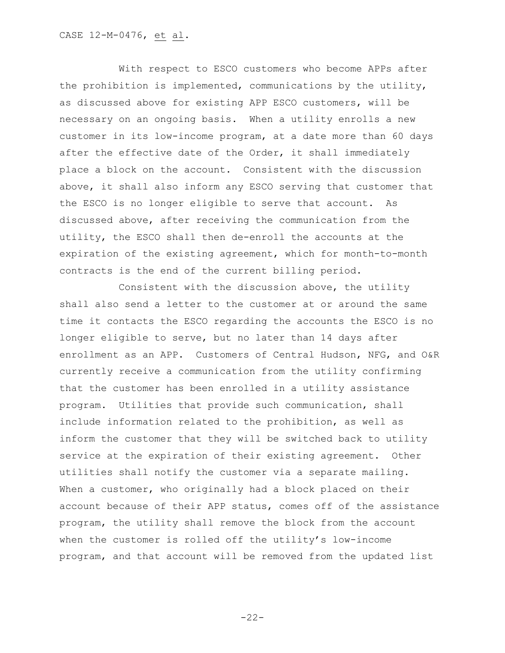With respect to ESCO customers who become APPs after the prohibition is implemented, communications by the utility, as discussed above for existing APP ESCO customers, will be necessary on an ongoing basis. When a utility enrolls a new customer in its low-income program, at a date more than 60 days after the effective date of the Order, it shall immediately place a block on the account. Consistent with the discussion above, it shall also inform any ESCO serving that customer that the ESCO is no longer eligible to serve that account. As discussed above, after receiving the communication from the utility, the ESCO shall then de-enroll the accounts at the expiration of the existing agreement, which for month-to-month contracts is the end of the current billing period.

Consistent with the discussion above, the utility shall also send a letter to the customer at or around the same time it contacts the ESCO regarding the accounts the ESCO is no longer eligible to serve, but no later than 14 days after enrollment as an APP. Customers of Central Hudson, NFG, and O&R currently receive a communication from the utility confirming that the customer has been enrolled in a utility assistance program. Utilities that provide such communication, shall include information related to the prohibition, as well as inform the customer that they will be switched back to utility service at the expiration of their existing agreement. Other utilities shall notify the customer via a separate mailing. When a customer, who originally had a block placed on their account because of their APP status, comes off of the assistance program, the utility shall remove the block from the account when the customer is rolled off the utility's low-income program, and that account will be removed from the updated list

 $-22-$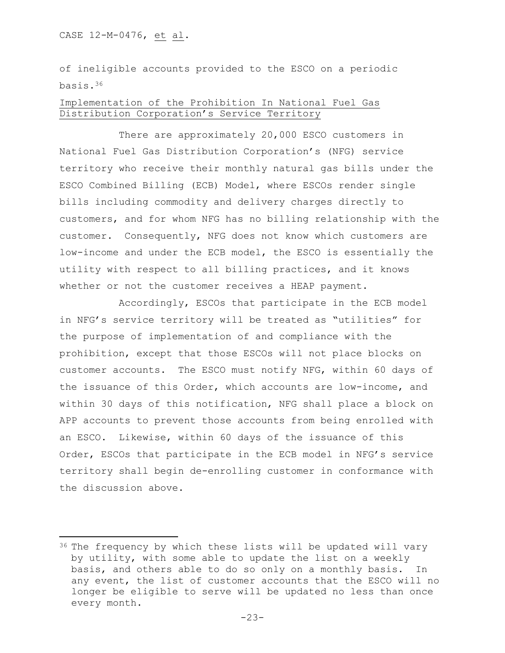of ineligible accounts provided to the ESCO on a periodic basis.<sup>36</sup>

# Implementation of the Prohibition In National Fuel Gas Distribution Corporation's Service Territory

There are approximately 20,000 ESCO customers in National Fuel Gas Distribution Corporation's (NFG) service territory who receive their monthly natural gas bills under the ESCO Combined Billing (ECB) Model, where ESCOs render single bills including commodity and delivery charges directly to customers, and for whom NFG has no billing relationship with the customer. Consequently, NFG does not know which customers are low-income and under the ECB model, the ESCO is essentially the utility with respect to all billing practices, and it knows whether or not the customer receives a HEAP payment.

Accordingly, ESCOs that participate in the ECB model in NFG's service territory will be treated as "utilities" for the purpose of implementation of and compliance with the prohibition, except that those ESCOs will not place blocks on customer accounts. The ESCO must notify NFG, within 60 days of the issuance of this Order, which accounts are low-income, and within 30 days of this notification, NFG shall place a block on APP accounts to prevent those accounts from being enrolled with an ESCO. Likewise, within 60 days of the issuance of this Order, ESCOs that participate in the ECB model in NFG's service territory shall begin de-enrolling customer in conformance with the discussion above.

<sup>&</sup>lt;sup>36</sup> The frequency by which these lists will be updated will vary by utility, with some able to update the list on a weekly basis, and others able to do so only on a monthly basis. In any event, the list of customer accounts that the ESCO will no longer be eligible to serve will be updated no less than once every month.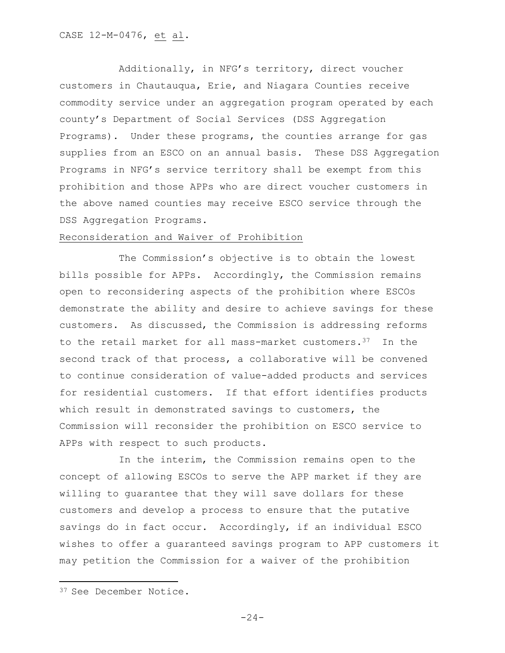Additionally, in NFG's territory, direct voucher customers in Chautauqua, Erie, and Niagara Counties receive commodity service under an aggregation program operated by each county's Department of Social Services (DSS Aggregation Programs). Under these programs, the counties arrange for gas supplies from an ESCO on an annual basis. These DSS Aggregation Programs in NFG's service territory shall be exempt from this prohibition and those APPs who are direct voucher customers in the above named counties may receive ESCO service through the DSS Aggregation Programs.

### Reconsideration and Waiver of Prohibition

The Commission's objective is to obtain the lowest bills possible for APPs. Accordingly, the Commission remains open to reconsidering aspects of the prohibition where ESCOs demonstrate the ability and desire to achieve savings for these customers. As discussed, the Commission is addressing reforms to the retail market for all mass-market customers.<sup>37</sup> In the second track of that process, a collaborative will be convened to continue consideration of value-added products and services for residential customers. If that effort identifies products which result in demonstrated savings to customers, the Commission will reconsider the prohibition on ESCO service to APPs with respect to such products.

In the interim, the Commission remains open to the concept of allowing ESCOs to serve the APP market if they are willing to guarantee that they will save dollars for these customers and develop a process to ensure that the putative savings do in fact occur. Accordingly, if an individual ESCO wishes to offer a guaranteed savings program to APP customers it may petition the Commission for a waiver of the prohibition

 $\overline{\phantom{a}}$ 

<sup>37</sup> See December Notice.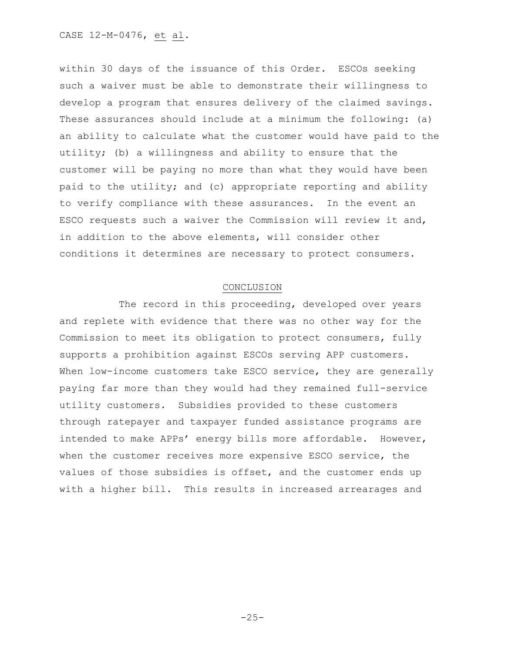within 30 days of the issuance of this Order. ESCOs seeking such a waiver must be able to demonstrate their willingness to develop a program that ensures delivery of the claimed savings. These assurances should include at a minimum the following: (a) an ability to calculate what the customer would have paid to the utility; (b) a willingness and ability to ensure that the customer will be paying no more than what they would have been paid to the utility; and (c) appropriate reporting and ability to verify compliance with these assurances. In the event an ESCO requests such a waiver the Commission will review it and, in addition to the above elements, will consider other conditions it determines are necessary to protect consumers.

### CONCLUSION

The record in this proceeding, developed over years and replete with evidence that there was no other way for the Commission to meet its obligation to protect consumers, fully supports a prohibition against ESCOs serving APP customers. When low-income customers take ESCO service, they are generally paying far more than they would had they remained full-service utility customers. Subsidies provided to these customers through ratepayer and taxpayer funded assistance programs are intended to make APPs' energy bills more affordable. However, when the customer receives more expensive ESCO service, the values of those subsidies is offset, and the customer ends up with a higher bill. This results in increased arrearages and

 $-25-$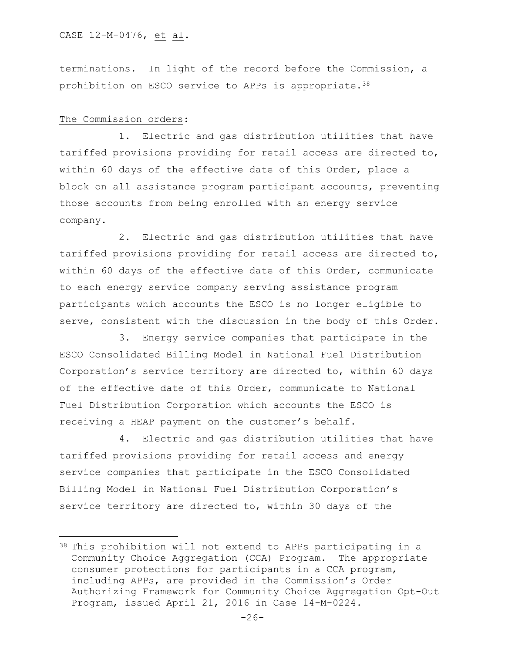terminations. In light of the record before the Commission, a prohibition on ESCO service to APPs is appropriate.<sup>38</sup>

### The Commission orders:

 $\overline{\phantom{a}}$ 

1. Electric and gas distribution utilities that have tariffed provisions providing for retail access are directed to, within 60 days of the effective date of this Order, place a block on all assistance program participant accounts, preventing those accounts from being enrolled with an energy service company.

2. Electric and gas distribution utilities that have tariffed provisions providing for retail access are directed to, within 60 days of the effective date of this Order, communicate to each energy service company serving assistance program participants which accounts the ESCO is no longer eligible to serve, consistent with the discussion in the body of this Order.

3. Energy service companies that participate in the ESCO Consolidated Billing Model in National Fuel Distribution Corporation's service territory are directed to, within 60 days of the effective date of this Order, communicate to National Fuel Distribution Corporation which accounts the ESCO is receiving a HEAP payment on the customer's behalf.

4. Electric and gas distribution utilities that have tariffed provisions providing for retail access and energy service companies that participate in the ESCO Consolidated Billing Model in National Fuel Distribution Corporation's service territory are directed to, within 30 days of the

<sup>38</sup> This prohibition will not extend to APPs participating in a Community Choice Aggregation (CCA) Program. The appropriate consumer protections for participants in a CCA program, including APPs, are provided in the Commission's Order Authorizing Framework for Community Choice Aggregation Opt-Out Program, issued April 21, 2016 in Case 14-M-0224.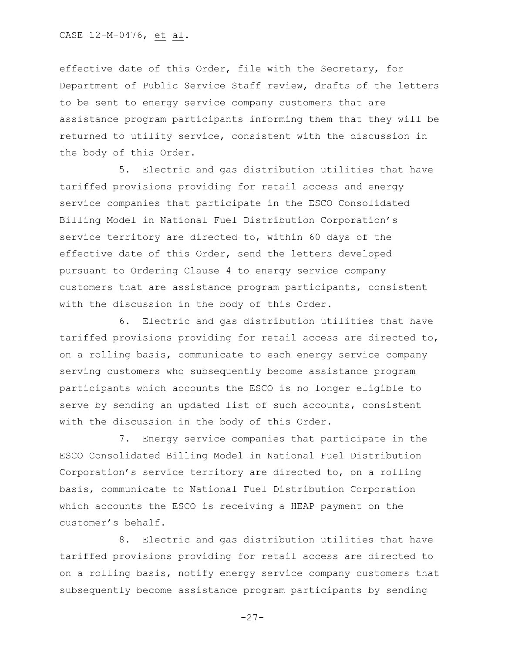effective date of this Order, file with the Secretary, for Department of Public Service Staff review, drafts of the letters to be sent to energy service company customers that are assistance program participants informing them that they will be returned to utility service, consistent with the discussion in the body of this Order.

5. Electric and gas distribution utilities that have tariffed provisions providing for retail access and energy service companies that participate in the ESCO Consolidated Billing Model in National Fuel Distribution Corporation's service territory are directed to, within 60 days of the effective date of this Order, send the letters developed pursuant to Ordering Clause 4 to energy service company customers that are assistance program participants, consistent with the discussion in the body of this Order.

6. Electric and gas distribution utilities that have tariffed provisions providing for retail access are directed to, on a rolling basis, communicate to each energy service company serving customers who subsequently become assistance program participants which accounts the ESCO is no longer eligible to serve by sending an updated list of such accounts, consistent with the discussion in the body of this Order.

7. Energy service companies that participate in the ESCO Consolidated Billing Model in National Fuel Distribution Corporation's service territory are directed to, on a rolling basis, communicate to National Fuel Distribution Corporation which accounts the ESCO is receiving a HEAP payment on the customer's behalf.

8. Electric and gas distribution utilities that have tariffed provisions providing for retail access are directed to on a rolling basis, notify energy service company customers that subsequently become assistance program participants by sending

 $-27-$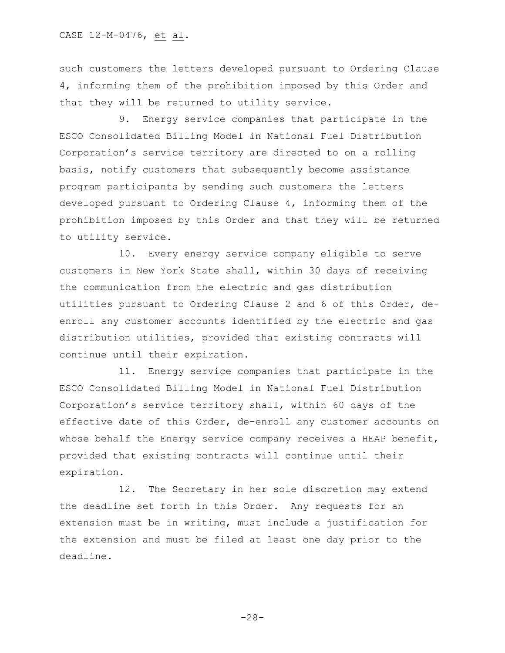such customers the letters developed pursuant to Ordering Clause 4, informing them of the prohibition imposed by this Order and that they will be returned to utility service.

9. Energy service companies that participate in the ESCO Consolidated Billing Model in National Fuel Distribution Corporation's service territory are directed to on a rolling basis, notify customers that subsequently become assistance program participants by sending such customers the letters developed pursuant to Ordering Clause 4, informing them of the prohibition imposed by this Order and that they will be returned to utility service.

10. Every energy service company eligible to serve customers in New York State shall, within 30 days of receiving the communication from the electric and gas distribution utilities pursuant to Ordering Clause 2 and 6 of this Order, deenroll any customer accounts identified by the electric and gas distribution utilities, provided that existing contracts will continue until their expiration.

11. Energy service companies that participate in the ESCO Consolidated Billing Model in National Fuel Distribution Corporation's service territory shall, within 60 days of the effective date of this Order, de-enroll any customer accounts on whose behalf the Energy service company receives a HEAP benefit, provided that existing contracts will continue until their expiration.

12. The Secretary in her sole discretion may extend the deadline set forth in this Order. Any requests for an extension must be in writing, must include a justification for the extension and must be filed at least one day prior to the deadline.

-28-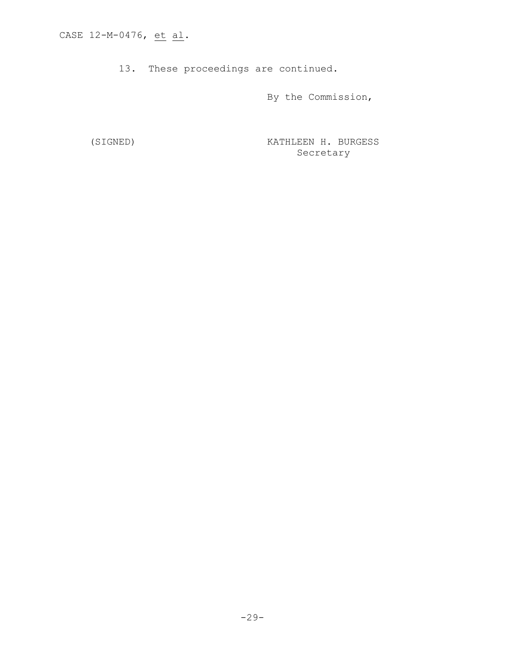13. These proceedings are continued.

By the Commission,

(SIGNED) KATHLEEN H. BURGESS Secretary